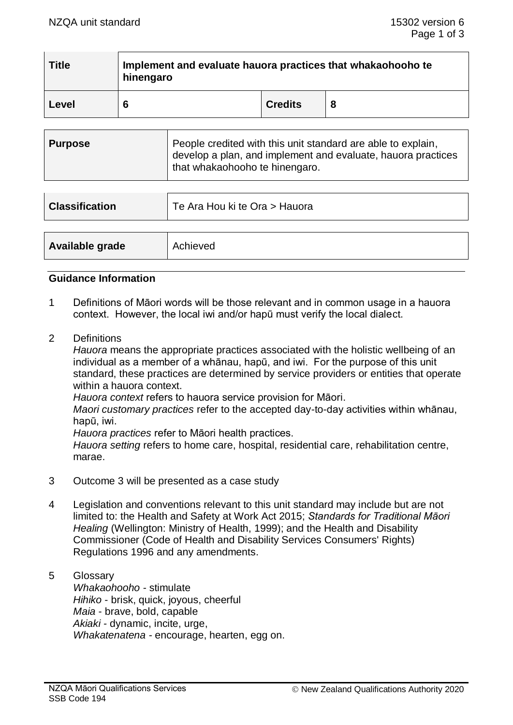| <b>Title</b> | Implement and evaluate hauora practices that whakaohooho te<br>hinengaro |                |  |  |
|--------------|--------------------------------------------------------------------------|----------------|--|--|
| Level        | 6                                                                        | <b>Credits</b> |  |  |

| <b>Purpose</b> | People credited with this unit standard are able to explain,<br>develop a plan, and implement and evaluate, hauora practices<br>that whakaohooho te hinengaro. |
|----------------|----------------------------------------------------------------------------------------------------------------------------------------------------------------|
|                |                                                                                                                                                                |

| <b>Classification</b> | Te Ara Hou ki te Ora > Hauora |
|-----------------------|-------------------------------|
|                       |                               |
| Available grade       | Achieved                      |

# **Guidance Information**

- 1 Definitions of Māori words will be those relevant and in common usage in a hauora context. However, the local iwi and/or hapū must verify the local dialect.
- 2 Definitions

*Hauora* means the appropriate practices associated with the holistic wellbeing of an individual as a member of a whānau, hapū, and iwi. For the purpose of this unit standard, these practices are determined by service providers or entities that operate within a hauora context.

*Hauora context* refers to hauora service provision for Māori.

*Maori customary practices* refer to the accepted day-to-day activities within whānau, hapū, iwi.

*Hauora practices* refer to Māori health practices.

*Hauora setting* refers to home care, hospital, residential care, rehabilitation centre, marae.

- 3 Outcome 3 will be presented as a case study
- 4 Legislation and conventions relevant to this unit standard may include but are not limited to: the Health and Safety at Work Act 2015; *Standards for Traditional Māori Healing* (Wellington: Ministry of Health, 1999); and the Health and Disability Commissioner (Code of Health and Disability Services Consumers' Rights) Regulations 1996 and any amendments.

#### 5 Glossary *Whakaohooho -* stimulate *Hihiko* - brisk, quick, joyous, cheerful *Maia* - brave, bold, capable *Akiaki -* dynamic, incite, urge, *Whakatenatena -* encourage, hearten, egg on.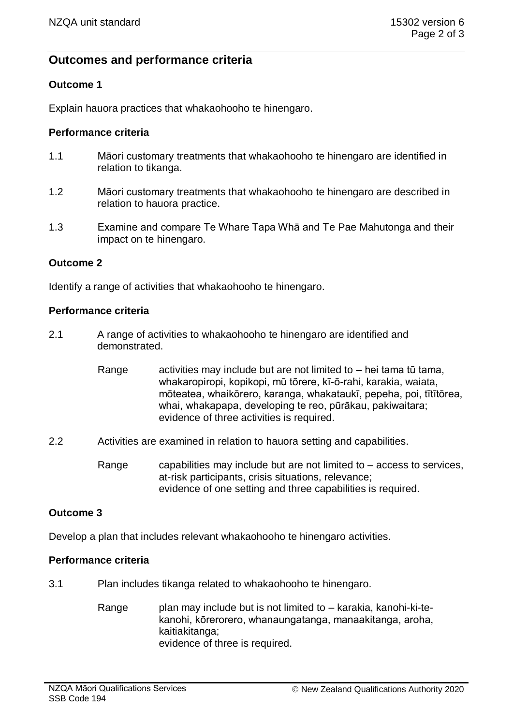# **Outcomes and performance criteria**

# **Outcome 1**

Explain hauora practices that whakaohooho te hinengaro.

## **Performance criteria**

- 1.1 Māori customary treatments that whakaohooho te hinengaro are identified in relation to tikanga.
- 1.2 Māori customary treatments that whakaohooho te hinengaro are described in relation to hauora practice.
- 1.3 Examine and compare Te Whare Tapa Whā and Te Pae Mahutonga and their impact on te hinengaro.

## **Outcome 2**

Identify a range of activities that whakaohooho te hinengaro.

#### **Performance criteria**

- 2.1 A range of activities to whakaohooho te hinengaro are identified and demonstrated.
	- Range activities may include but are not limited to  $-$  hei tama tū tama, whakaropiropi, kopikopi, mū tōrere, kī-ō-rahi, karakia, waiata, mōteatea, whaikōrero, karanga, whakataukī, pepeha, poi, tītītōrea, whai, whakapapa, developing te reo, pūrākau, pakiwaitara; evidence of three activities is required.
- 2.2 Activities are examined in relation to hauora setting and capabilities.
	- Range capabilities may include but are not limited to  $-$  access to services, at-risk participants, crisis situations, relevance; evidence of one setting and three capabilities is required.

# **Outcome 3**

Develop a plan that includes relevant whakaohooho te hinengaro activities.

#### **Performance criteria**

- 3.1 Plan includes tikanga related to whakaohooho te hinengaro.
	- Range plan may include but is not limited to karakia, kanohi-ki-tekanohi, kōrerorero, whanaungatanga, manaakitanga, aroha, kaitiakitanga; evidence of three is required.